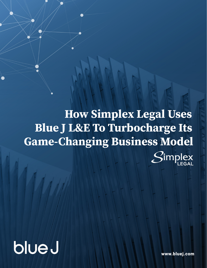**How Simplex Legal Uses Blue J L&E To Turbocharge Its Game-Changing Business Model** $\mathcal{S}$ implex

blueJ

www.bluej.com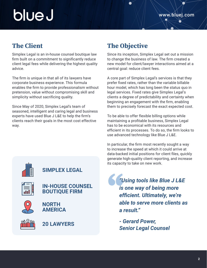# blue J

### **The Client**

Simplex Legal is an in-house counsel boutique law firm built on a commitment to significantly reduce client legal fees while delivering the highest quality advice.

The firm is unique in that all of its lawyers have corporate business experience. This formula enables the firm to provide professionalism without pretension, value without compromising skill and simplicity without sacrificing quality.

Since May of 2020, Simplex Legal's team of seasoned, intelligent and caring legal and business experts have used Blue J L&E to help the firm's clients reach their goals in the most cost effective way.

## **The Objective**

Since its inception, Simplex Legal set out a mission to change the business of law. The firm created a new model for client/lawyer interactions aimed at a central goal: reduce client fees.

A core part of Simplex Legal's services is that they prefer fixed rates, rather than the variable billable hour model, which has long been the status quo in legal services. Fixed rates give Simplex Legal's clients a degree of predictability and certainty when beginning an engagement with the firm, enabling them to precisely forecast the exact expected cost.

To be able to offer flexible billing options while maintaining a profitable business, Simplex Legal has to be economical with its resources and efficient in its processes. To do so, the firm looks to use advanced technology like Blue J L&E.

In particular, the firm most recently sought a way to increase the speed at which it could arrive at data-backed initial positions for client files, quickly generate high-quality client reporting, and increase its capacity to take on new work.

> *"Using tools like Blue J L&E is one way of being more efficient. Ultimately, we're able to serve more clients as a result."*

*- Gerard Power, Senior Legal Counsel*



### **SIMPLEX LEGAL**



#### **IN-HOUSE COUNSEL BOUTIQUE FIRM**



**NORTH AMERICA**



**20 LAWYERS**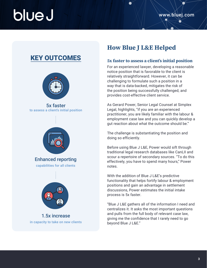## blue J

## KEY OUTCOMES



5x faster to assess a client's initial position



Enhanced reporting capabilities for all clients



1.5x increase in capacity to take on new clients

## **How Blue J L&E Helped**

#### **5x faster to assess a client's initial position**

For an experienced lawyer, developing a reasonable notice position that is favorable to the client is relatively straightforward. However, it can be challenging to formulate such a position in a way that is data-backed, mitigates the risk of the position being successfully challenged, and provides cost-effective client service.

As Gerard Power, Senior Legal Counsel at Simplex Legal, highlights, "if you are an experienced practitioner, you are likely familiar with the labour & employment case law and you can quickly develop a gut reaction about what the outcome should be."

The challenge is substantiating the position and doing so efficiently.

Before using Blue J L&E, Power would sift through traditional legal research databases like CanLII and scour a repertoire of secondary sources. "To do this effectively, you have to spend many hours," Power notes.

With the addition of Blue J L&E's predictive functionality that helps fortify labour & employment positions and gain an advantage in settlement discussions, Power estimates the initial intake process is 5x faster.

"Blue J L&E gathers all of the information I need and centralizes it. It asks the most important questions and pulls from the full body of relevant case law, giving me the confidence that I rarely need to go beyond Blue J L&E."